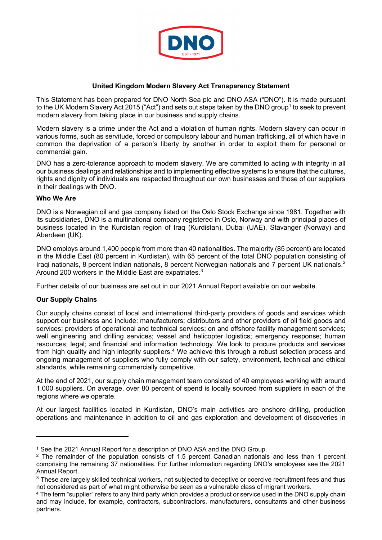

# **United Kingdom Modern Slavery Act Transparency Statement**

This Statement has been prepared for DNO North Sea plc and DNO ASA ("DNO"). It is made pursuant to the UK Modern Slavery Act 20[1](#page-0-0)5 ("Act") and sets out steps taken by the DNO group<sup>1</sup> to seek to prevent modern slavery from taking place in our business and supply chains.

Modern slavery is a crime under the Act and a violation of human rights. Modern slavery can occur in various forms, such as servitude, forced or compulsory labour and human trafficking, all of which have in common the deprivation of a person's liberty by another in order to exploit them for personal or commercial gain.

DNO has a zero-tolerance approach to modern slavery. We are committed to acting with integrity in all our business dealings and relationships and to implementing effective systems to ensure that the cultures, rights and dignity of individuals are respected throughout our own businesses and those of our suppliers in their dealings with DNO.

## **Who We Are**

DNO is a Norwegian oil and gas company listed on the Oslo Stock Exchange since 1981. Together with its subsidiaries, DNO is a multinational company registered in Oslo, Norway and with principal places of business located in the Kurdistan region of Iraq (Kurdistan), Dubai (UAE), Stavanger (Norway) and Aberdeen (UK).

DNO employs around 1,400 people from more than 40 nationalities. The majority (85 percent) are located in the Middle East (80 percent in Kurdistan), with 65 percent of the total DNO population consisting of Iraqi nationals, 8 percent Indian nationals, 8 percent Norwegian nationals and 7 percent UK nationals.<sup>[2](#page-0-1)</sup> Around 200 workers in the Middle East are expatriates.<sup>[3](#page-0-2)</sup>

Further details of our business are set out in our 2021 Annual Report available on our website.

# **Our Supply Chains**

Our supply chains consist of local and international third-party providers of goods and services which support our business and include: manufacturers; distributors and other providers of oil field goods and services; providers of operational and technical services; on and offshore facility management services; well engineering and drilling services; vessel and helicopter logistics; emergency response; human resources; legal; and financial and information technology. We look to procure products and services from high quality and high integrity suppliers.<sup>[4](#page-0-3)</sup> We achieve this through a robust selection process and ongoing management of suppliers who fully comply with our safety, environment, technical and ethical standards, while remaining commercially competitive.

At the end of 2021, our supply chain management team consisted of 40 employees working with around 1,000 suppliers. On average, over 80 percent of spend is locally sourced from suppliers in each of the regions where we operate.

At our largest facilities located in Kurdistan, DNO's main activities are onshore drilling, production operations and maintenance in addition to oil and gas exploration and development of discoveries in

<span id="page-0-0"></span><sup>1</sup> See the 2021 Annual Report for a description of DNO ASA and the DNO Group.

<span id="page-0-1"></span><sup>&</sup>lt;sup>2</sup> The remainder of the population consists of 1.5 percent Canadian nationals and less than 1 percent comprising the remaining 37 nationalities. For further information regarding DNO's employees see the 2021

<span id="page-0-2"></span>Annual Report.<br><sup>3</sup> These are largely skilled technical workers, not subjected to deceptive or coercive recruitment fees and thus not considered as part of what might otherwise be seen as a vulnerable class of migrant workers.

<span id="page-0-3"></span><sup>4</sup> The term "supplier" refers to any third party which provides a product or service used in the DNO supply chain and may include, for example, contractors, subcontractors, manufacturers, consultants and other business partners.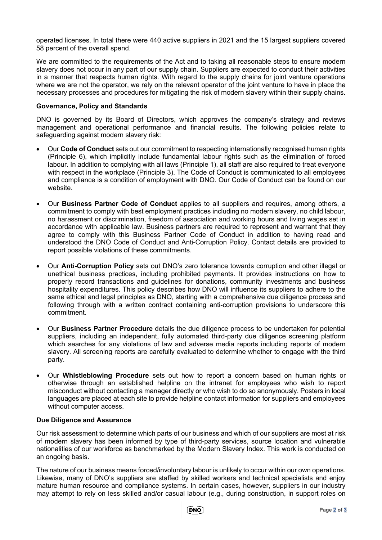operated licenses. In total there were 440 active suppliers in 2021 and the 15 largest suppliers covered 58 percent of the overall spend.

We are committed to the requirements of the Act and to taking all reasonable steps to ensure modern slavery does not occur in any part of our supply chain. Suppliers are expected to conduct their activities in a manner that respects human rights. With regard to the supply chains for joint venture operations where we are not the operator, we rely on the relevant operator of the joint venture to have in place the necessary processes and procedures for mitigating the risk of modern slavery within their supply chains.

# **Governance, Policy and Standards**

DNO is governed by its Board of Directors, which approves the company's strategy and reviews management and operational performance and financial results. The following policies relate to safeguarding against modern slavery risk:

- Our **Code of Conduct** sets out our commitment to respecting internationally recognised human rights (Principle 6), which implicitly include fundamental labour rights such as the elimination of forced labour. In addition to complying with all laws (Principle 1), all staff are also required to treat everyone with respect in the workplace (Principle 3). The Code of Conduct is communicated to all employees and compliance is a condition of employment with DNO. Our Code of Conduct can be found on our website.
- Our **Business Partner Code of Conduct** applies to all suppliers and requires, among others, a commitment to comply with best employment practices including no modern slavery, no child labour, no harassment or discrimination, freedom of association and working hours and living wages set in accordance with applicable law. Business partners are required to represent and warrant that they agree to comply with this Business Partner Code of Conduct in addition to having read and understood the DNO Code of Conduct and Anti-Corruption Policy. Contact details are provided to report possible violations of these commitments.
- Our **Anti-Corruption Policy** sets out DNO's zero tolerance towards corruption and other illegal or unethical business practices, including prohibited payments. It provides instructions on how to properly record transactions and guidelines for donations, community investments and business hospitality expenditures. This policy describes how DNO will influence its suppliers to adhere to the same ethical and legal principles as DNO, starting with a comprehensive due diligence process and following through with a written contract containing anti-corruption provisions to underscore this commitment.
- Our **Business Partner Procedure** details the due diligence process to be undertaken for potential suppliers, including an independent, fully automated third-party due diligence screening platform which searches for any violations of law and adverse media reports including reports of modern slavery. All screening reports are carefully evaluated to determine whether to engage with the third party.
- Our **Whistleblowing Procedure** sets out how to report a concern based on human rights or otherwise through an established helpline on the intranet for employees who wish to report misconduct without contacting a manager directly or who wish to do so anonymously. Posters in local languages are placed at each site to provide helpline contact information for suppliers and employees without computer access.

# **Due Diligence and Assurance**

Our risk assessment to determine which parts of our business and which of our suppliers are most at risk of modern slavery has been informed by type of third-party services, source location and vulnerable nationalities of our workforce as benchmarked by the Modern Slavery Index. This work is conducted on an ongoing basis.

The nature of our business means forced/involuntary labour is unlikely to occur within our own operations. Likewise, many of DNO's suppliers are staffed by skilled workers and technical specialists and enjoy mature human resource and compliance systems. In certain cases, however, suppliers in our industry may attempt to rely on less skilled and/or casual labour (e.g., during construction, in support roles on